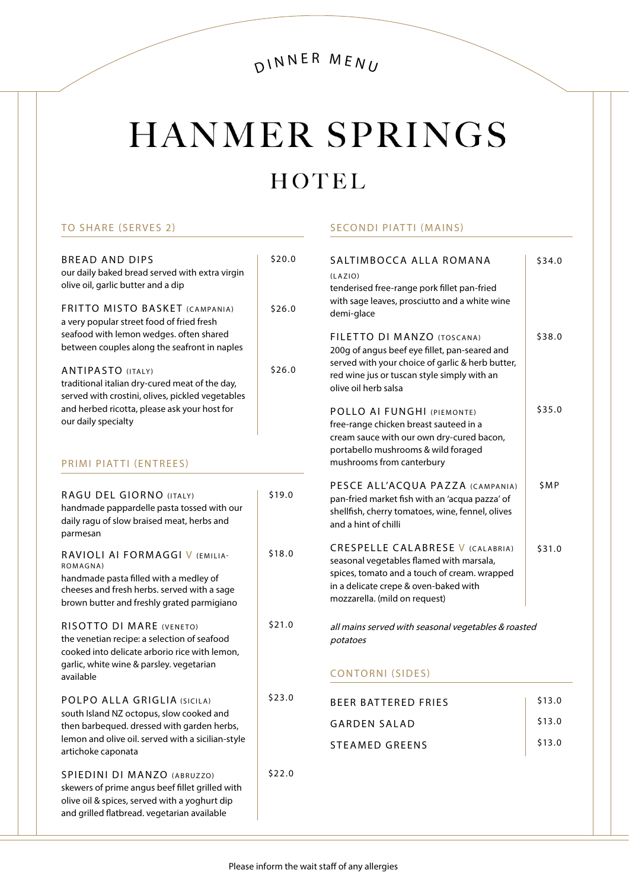# HANMER SPRINGS

## HOTEL

SECONDI PIATTI (MAINS)

#### TO SHARE (SERVES 2)

| <b>BREAD AND DIPS</b><br>our daily baked bread served with extra virgin<br>olive oil, garlic butter and a dip<br>FRITTO MISTO BASKET (CAMPANIA)<br>a very popular street food of fried fresh                                                                                                     | \$20.0<br>\$26.0 | SALTIMBOCCA ALLA ROMANA<br>(LAZIO)<br>tenderised free-range pork fillet pan-fried<br>with sage leaves, prosciutto and a white wine<br>demi-glace                                                              | \$34.0 |
|--------------------------------------------------------------------------------------------------------------------------------------------------------------------------------------------------------------------------------------------------------------------------------------------------|------------------|---------------------------------------------------------------------------------------------------------------------------------------------------------------------------------------------------------------|--------|
| seafood with lemon wedges. often shared<br>between couples along the seafront in naples<br><b>ANTIPASTO (ITALY)</b><br>traditional italian dry-cured meat of the day,<br>served with crostini, olives, pickled vegetables<br>and herbed ricotta, please ask your host for<br>our daily specialty | \$26.0           | FILETTO DI MANZO (TOSCANA)<br>200g of angus beef eye fillet, pan-seared and<br>served with your choice of garlic & herb butter,<br>red wine jus or tuscan style simply with an<br>olive oil herb salsa        | \$38.0 |
|                                                                                                                                                                                                                                                                                                  |                  | POLLO AI FUNGHI (PIEMONTE)<br>free-range chicken breast sauteed in a<br>cream sauce with our own dry-cured bacon,<br>portabello mushrooms & wild foraged                                                      | \$35.0 |
| PRIMI PIATTI (ENTREES)                                                                                                                                                                                                                                                                           |                  | mushrooms from canterbury                                                                                                                                                                                     |        |
| RAGU DEL GIORNO (ITALY)<br>handmade pappardelle pasta tossed with our<br>daily ragu of slow braised meat, herbs and<br>parmesan                                                                                                                                                                  | \$19.0           | PESCE ALL'ACQUA PAZZA (CAMPANIA)<br>pan-fried market fish with an 'acqua pazza' of<br>shellfish, cherry tomatoes, wine, fennel, olives<br>and a hint of chilli                                                | \$MP   |
| RAVIOLI AI FORMAGGI V (EMILIA-<br>ROMAGNA)<br>handmade pasta filled with a medley of<br>cheeses and fresh herbs. served with a sage<br>brown butter and freshly grated parmigiano                                                                                                                | \$18.0           | <b>CRESPELLE CALABRESE V (CALABRIA)</b><br>seasonal vegetables flamed with marsala,<br>spices, tomato and a touch of cream. wrapped<br>in a delicate crepe & oven-baked with<br>mozzarella. (mild on request) | \$31.0 |
| RISOTTO DI MARE (VENETO)<br>the venetian recipe: a selection of seafood<br>cooked into delicate arborio rice with lemon,<br>garlic, white wine & parsley. vegetarian                                                                                                                             | \$21.0           | all mains served with seasonal vegetables & roasted<br>potatoes<br><b>CONTORNI (SIDES)</b>                                                                                                                    |        |
| available                                                                                                                                                                                                                                                                                        |                  |                                                                                                                                                                                                               |        |
| POLPO ALLA GRIGLIA (SICILA)<br>south Island NZ octopus, slow cooked and<br>then barbequed. dressed with garden herbs,<br>lemon and olive oil. served with a sicilian-style<br>artichoke caponata                                                                                                 | \$23.0           | <b>BEER BATTERED FRIES</b>                                                                                                                                                                                    | \$13.0 |
|                                                                                                                                                                                                                                                                                                  |                  | <b>GARDEN SALAD</b>                                                                                                                                                                                           | \$13.0 |
|                                                                                                                                                                                                                                                                                                  |                  | <b>STEAMED GREENS</b>                                                                                                                                                                                         | \$13.0 |
| SPIEDINI DI MANZO (ABRUZZO)<br>skewers of prime angus beef fillet grilled with<br>olive oil & spices, served with a yoghurt dip<br>and grilled flatbread. vegetarian available                                                                                                                   | \$22.0           |                                                                                                                                                                                                               |        |